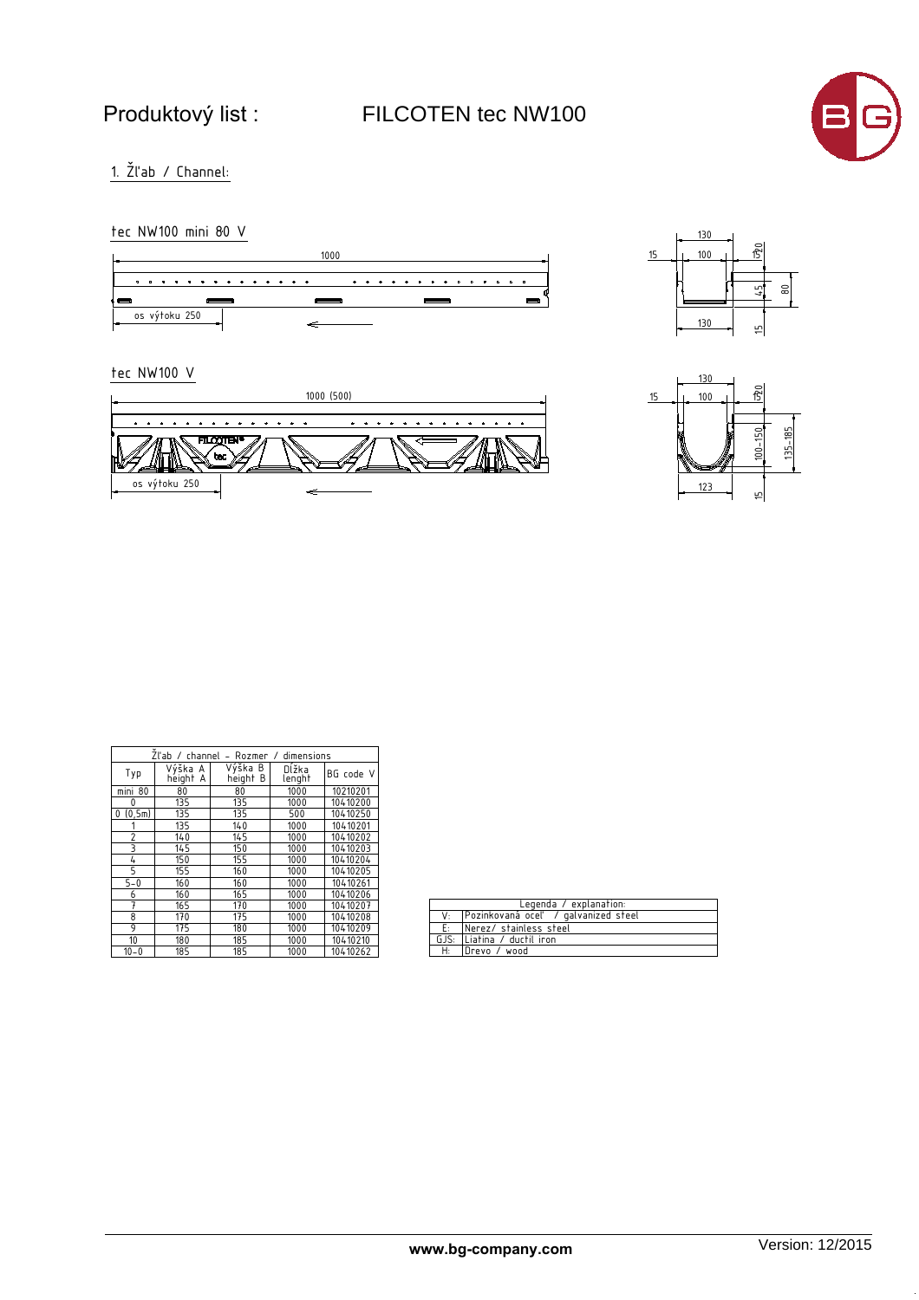Produktový list : FILCOTEN tec NW100



 $1.$  Žľab / Channel:

tec NW100 mini 80 V





tec NW100 V





| Zl'ab / channel - Rozmer / dimensions |                     |                     |                 |           |
|---------------------------------------|---------------------|---------------------|-----------------|-----------|
| Typ                                   | Výška A<br>height A | Výška B<br>height B | Dĺžka<br>lenght | BG code V |
| mini 80                               | 80                  | 80                  | 1000            | 10210201  |
| 0                                     | 135                 | 135                 | 1000            | 10410200  |
| (0, 5m)<br>0                          | 135                 | 135                 | 500             | 10410250  |
|                                       | 135                 | 140                 | 1000            | 10410201  |
| $\overline{2}$                        | 140                 | 145                 | 1000            | 10410202  |
| 3                                     | 145                 | 150                 | 1000            | 10410203  |
| 4                                     | 150                 | 155                 | 1000            | 10410204  |
| 5                                     | 155                 | 160                 | 1000            | 10410205  |
| $5 - 0$                               | 160                 | 160                 | 1000            | 10410261  |
| 6                                     | 160                 | 165                 | 1000            | 10410206  |
| 7                                     | 165                 | 170                 | 1000            | 10410207  |
| 8                                     | 170                 | 175                 | 1000            | 10410208  |
| 9                                     | 175                 | 180                 | 1000            | 10410209  |
| 10                                    | 180                 | 185                 | 1000            | 10410210  |
| $10 - 0$                              | 185                 | 185                 | 1000            | 10410262  |

| Legenda / explanation: |                                        |  |  |  |
|------------------------|----------------------------------------|--|--|--|
|                        | V: Pozinkovaná oceľ / galvanized steel |  |  |  |
|                        | E: Nerez/stainless steel               |  |  |  |
|                        | GJS: Liatina / ductil iron             |  |  |  |
| H:                     | Drevo / wood                           |  |  |  |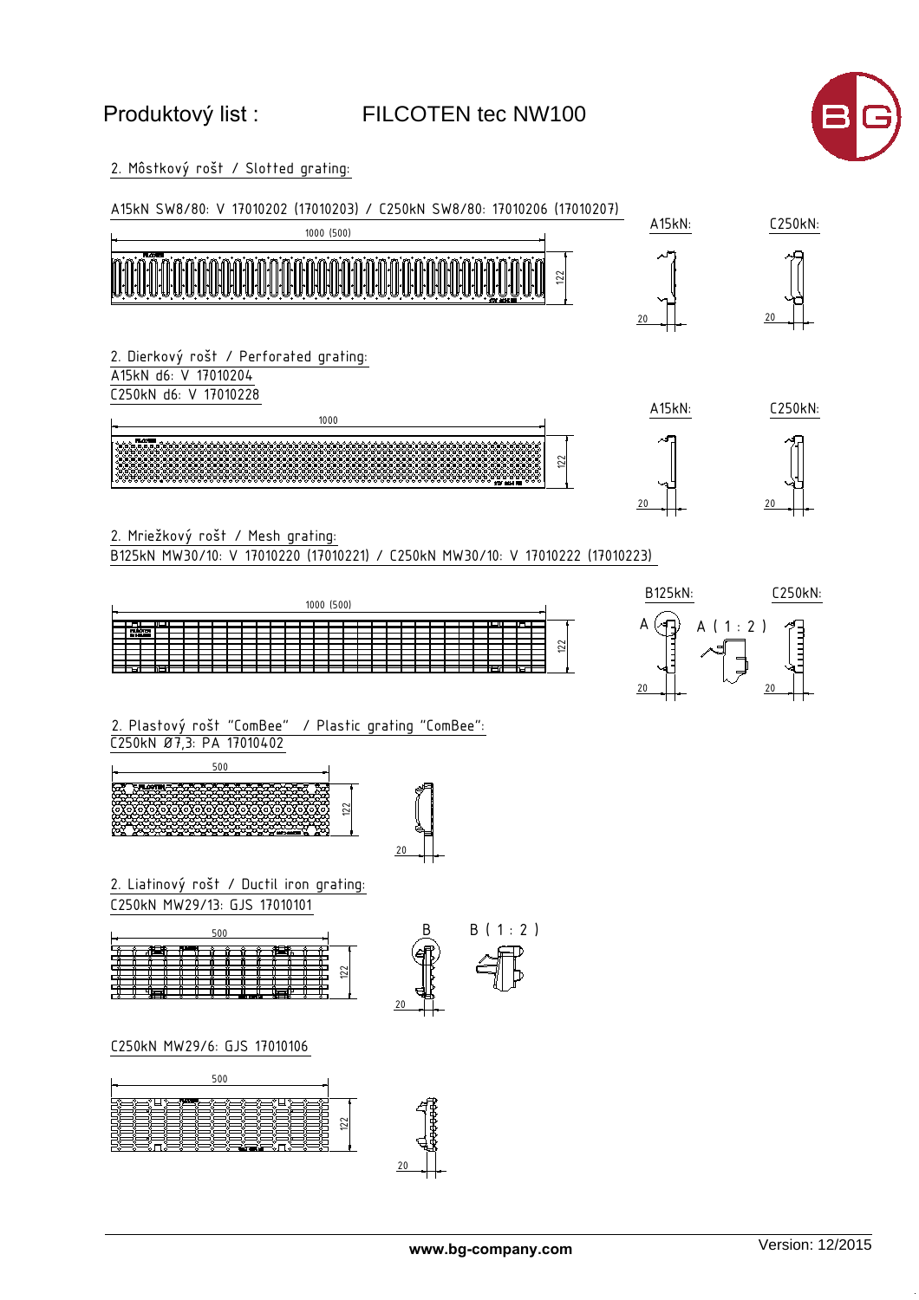## Produktový list :

## FILCOTEN tec NW100



2. Môstkový rošt / Slotted grating:



2. Mriežkový rošt / Mesh grating:

B125kN MW30/10: V 17010220 (17010221) / C250kN MW30/10: V 17010222 (17010223)





C250kN Ø7,3: PA 17010402 2. Plastový rošt "ComBee" / Plastic grating "ComBee":





C250kN MW29/13: GJS 17010101 2. Liatinový rošt / Ductil iron grating:





C250kN MW29/6: GJS 17010106

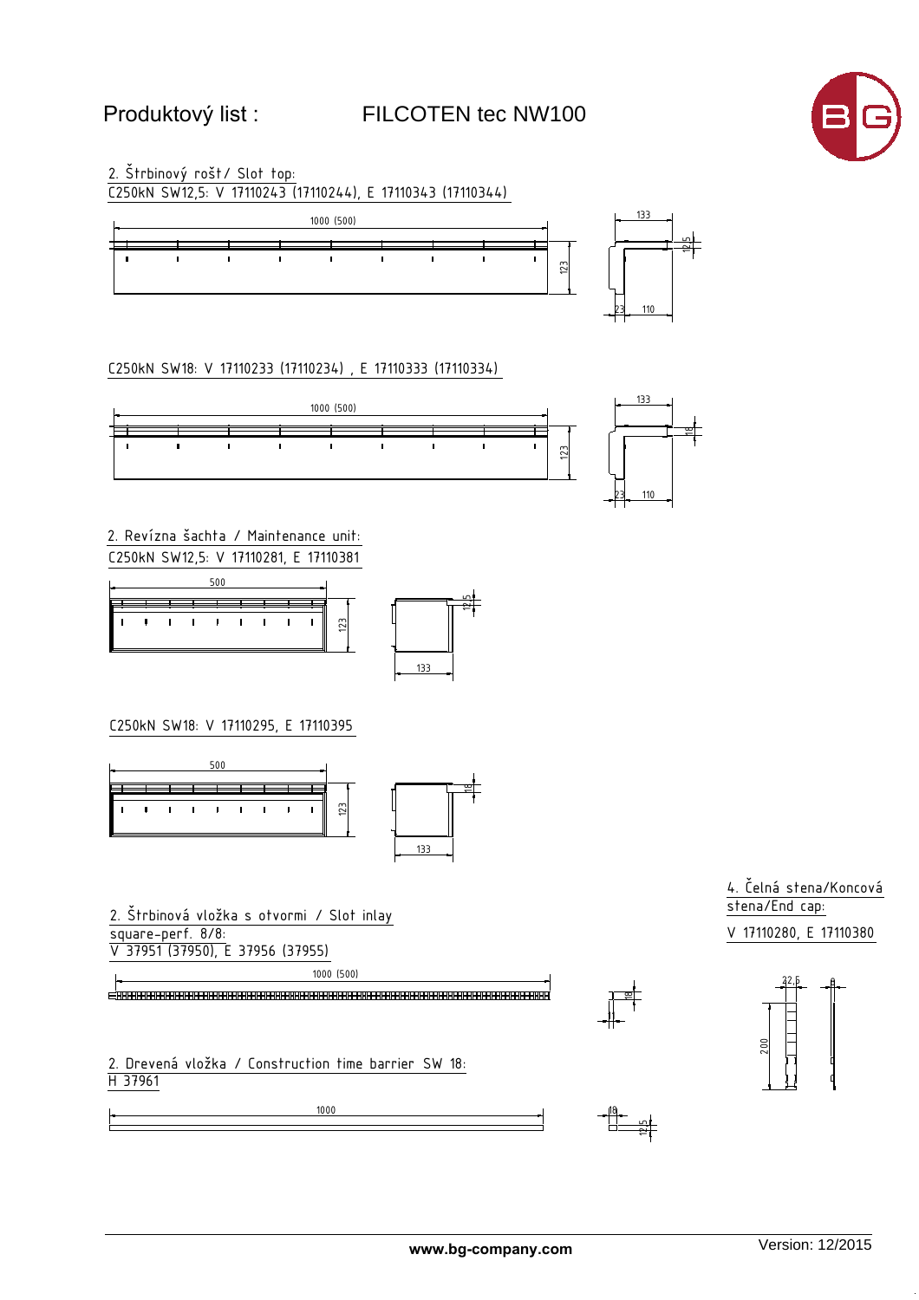FILCOTEN tec NW100



2. Štrbinový rošt/ Slot top:



C250kN SW18: V 17110233 (17110234), E 17110333 (17110334)



2. Revízna šachta / Maintenance unit: C250kN SW12,5: V 17110281, E 17110381





C250kN SW18: V 17110295, E 17110395



2. Štrbinová vložka s otvormi / Slot inlay square-perf. 8/8: V 37951 (37950), E 37956 (37955)

1000 (500)

1000

2. Drevená vložka / Construction time barrier SW 18:<br>H 37961

4. Čelná stena/Koncová  $\overline{\text{stena/End cap:}}$ V 17110280, E 17110380